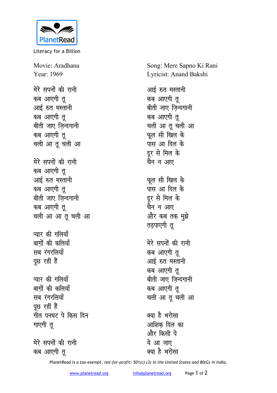

Literacy for a Billion

Movie: Aradhana Year: 1969

मेरे सपनों की रानी **कब आएगी तु** आई रुत मस्तानी कब आएगी त<u>ु</u> बीती जाए जिन्दगानी कब आएगी त<u>ु</u> चली आ तू चली आ मेरे सपनों की रानी कब आएगी तू आई रुत मस्तानी कब आएगी तू बीती जाए जिन्दगानी कब आएगी तू चली आ आ तू चली आ **प्यार की गलियाँ** बागों की कलिया<mark>ँ</mark> सब रंगरलियाँ पूछ रहीं हैं **प्यार की गलियाँ** बागों की कलिया<mark>ँ</mark> **सब**रंगरलियाँ **पुछ रहीं हैं** <u>गीत पनघट पे किस दिन</u> **गाएगी** तु

मेरे सपनों की रानी कब आएगी त<u>ु</u>

Song: Mere Sapno Ki Rani Lyricist: Anand Bakshi

आई रुत मस्तानी कब आएगी त<u>ु</u> बीती जाए जिन्दगानी कब आएगी त<u>ु</u> चली आ तू चली आ **फूल सी खिल के** <u>पास आ दिल के</u> दुर से मिल के चैन **न** आए **फूल सी खिल के पास आ दिल के** दूर से मिल के चैन न आए और कब तक मुझे **तडपाएगी** तु मेरे सपनों की रानी **कब आएगी तु** आई रुत मस्तानी कब आएगी त<u>ु</u> बीती जाए जिन्दगानी कब आएगी त चली आ तू चली आ क्या है भरोसा आशिक दिल का <mark>और किसी पे</mark> ये **आ** जाए

*PlanetRead is a tax-exempt, not-for-profit: 501(c) (3) in the United States and 80(G) in India.*

क्या है भरोसा